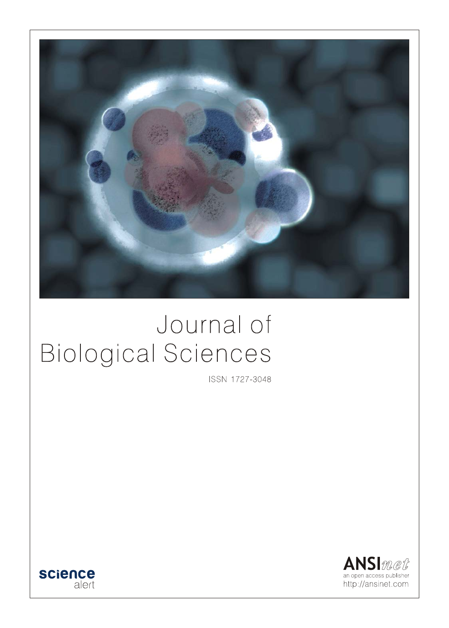

# Journal of **Biological Sciences**

ISSN 1727-3048



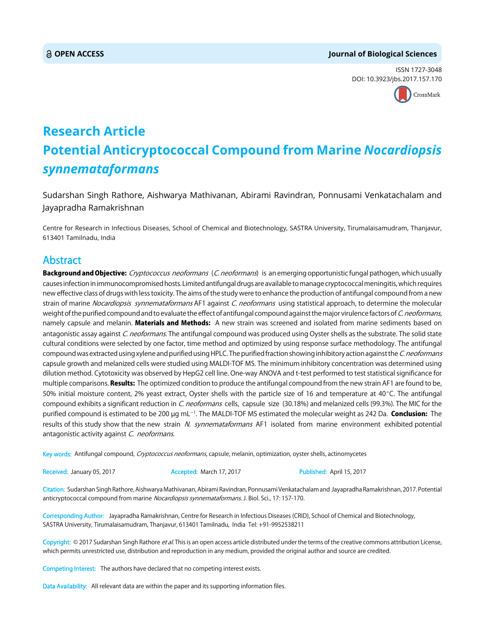#### **OPEN ACCESS Journal of Biological Sciences**

ISSN 1727-3048 DOI: 10.3923/jbs.2017.157.170



# **Research Article Potential Anticryptococcal Compound from Marine** *Nocardiopsis synnemataformans*

Sudarshan Singh Rathore, Aishwarya Mathivanan, Abirami Ravindran, Ponnusami Venkatachalam and Jayapradha Ramakrishnan

Centre for Research in Infectious Diseases, School of Chemical and Biotechnology, SASTRA University, Tirumalaisamudram, Thanjavur, 613401 Tamilnadu, India

# Abstract

Background and Objective: Cryptococcus neoformans (C. neoformans) is an emerging opportunistic fungal pathogen, which usually causes infection in immunocompromised hosts. Limited antifungal drugs are available to manage cryptococcal meningitis, which requires new effective class of drugs with less toxicity. The aims of the study were to enhance the production of antifungal compound from a new strain of marine *Nocardiopsis synnemataformans* AF1 against C. neoformans using statistical approach, to determine the molecular weight of the purified compound and to evaluate the effect of antifungal compound against the major virulence factors of C. neoformans, namely capsule and melanin. Materials and Methods: A new strain was screened and isolated from marine sediments based on antagonistic assay against C. neoformans. The antifungal compound was produced using Oyster shells as the substrate. The solid state cultural conditions were selected by one factor, time method and optimized by using response surface methodology. The antifungal compound was extracted using xylene and purified using HPLC. The purified fraction showing inhibitory action against the C. neoformans capsule growth and melanized cells were studied using MALDI-TOF MS. The minimum inhibitory concentration was determined using dilution method. Cytotoxicity was observed by HepG2 cell line. One-way ANOVA and t-test performed to test statistical significance for multiple comparisons. Results: The optimized condition to produce the antifungal compound from the new strain AF1 are found to be, 50% initial moisture content, 2% yeast extract, Oyster shells with the particle size of 16 and temperature at  $40^{\circ}$ C. The antifungal compound exhibits a significant reduction in C. neoformans cells, capsule size (30.18%) and melanized cells (99.3%). The MIC for the purified compound is estimated to be 200 µg mL<sup>-1</sup>. The MALDI-TOF MS estimated the molecular weight as 242 Da. **Conclusion:** The results of this study show that the new strain N. synnemataformans AF1 isolated from marine environment exhibited potential antagonistic activity against C. neoformans.

Key words: Antifungal compound, Cryptococcus neoformans, capsule, melanin, optimization, oyster shells, actinomycetes

Received: January 05, 2017 **Accepted: March 17, 2017** Published: April 15, 2017

Citation: Sudarshan Singh Rathore, Aishwarya Mathivanan, Abirami Ravindran, Ponnusami Venkatachalam and Jayapradha Ramakrishnan, 2017. Potential anticryptococcal compound from marine Nocardiopsis synnemataformans. J. Biol. Sci., 17: 157-170.

Corresponding Author: Jayapradha Ramakrishnan, Centre for Research in Infectious Diseases (CRID), School of Chemical and Biotechnology, SASTRA University, Tirumalaisamudram, Thanjavur, 613401 Tamilnadu, India Tel: +91-9952538211

Copyright: © 2017 Sudarshan Singh Rathore *et al*. This is an open access article distributed under the terms of the creative commons attribution License, which permits unrestricted use, distribution and reproduction in any medium, provided the original author and source are credited.

Competing Interest: The authors have declared that no competing interest exists.

Data Availability: All relevant data are within the paper and its supporting information files.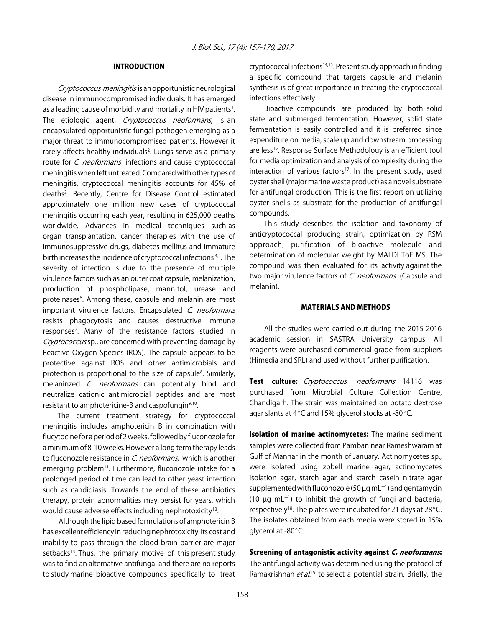#### INTRODUCTION

Cryptococcus meningitis is an opportunistic neurological disease in immunocompromised individuals. It has emerged as a leading cause of morbidity and mortality in HIV patients<sup>1</sup>. The etiologic agent, Cryptococcus neoformans, is an encapsulated opportunistic fungal pathogen emerging as a major threat to immunocompromised patients. However it rarely affects healthy individuals<sup>2</sup>. Lungs serve as a primary route for *C. neoformans* infections and cause cryptococcal meningitis when left untreated. Compared with other types of meningitis, cryptococcal meningitis accounts for 45% of deaths<sup>3</sup>. Recently, Centre for Disease Control estimated approximately one million new cases of cryptococcal meningitis occurring each year, resulting in 625,000 deaths worldwide. Advances in medical techniques such as organ transplantation, cancer therapies with the use of immunosuppressive drugs, diabetes mellitus and immature birth increases the incidence of cryptococcal infections 4,5. The severity of infection is due to the presence of multiple virulence factors such as an outer coat capsule, melanization, production of phospholipase, mannitol, urease and proteinases<sup>6</sup>. Among these, capsule and melanin are most important virulence factors. Encapsulated C. neoformans resists phagocytosis and causes destructive immune responses7 . Many of the resistance factors studied in Cryptococcus sp., are concerned with preventing damage by Reactive Oxygen Species (ROS). The capsule appears to be protective against ROS and other antimicrobials and protection is proportional to the size of capsule<sup>8</sup>. Similarly, melaninzed C. neoformans can potentially bind and neutralize cationic antimicrobial peptides and are most resistant to amphotericine-B and caspofungin<sup>9,10</sup>.

The current treatment strategy for cryptococcal meningitis includes amphotericin B in combination with flucytocine for a period of 2 weeks, followed by fluconozole for a minimum of 8-10 weeks. However a long term therapy leads to fluconozole resistance in *C. neoformans*, which is another emerging problem<sup>11</sup>. Furthermore, fluconozole intake for a prolonged period of time can lead to other yeast infection such as candidiasis. Towards the end of these antibiotics therapy, protein abnormalities may persist for years, which would cause adverse effects including nephrotoxicity<sup>12</sup>.

 Although the lipid based formulations of amphotericin B has excellent efficiency in reducing nephrotoxicity, its cost and inability to pass through the blood brain barrier are major setbacks<sup>13</sup>. Thus, the primary motive of this present study was to find an alternative antifungal and there are no reports to study marine bioactive compounds specifically to treat

cryptococcal infections14,15. Present study approach in finding a specific compound that targets capsule and melanin synthesis is of great importance in treating the cryptococcal infections effectively.

Bioactive compounds are produced by both solid state and submerged fermentation. However, solid state fermentation is easily controlled and it is preferred since expenditure on media, scale up and downstream processing are less<sup>16</sup>. Response Surface Methodology is an efficient tool for media optimization and analysis of complexity during the interaction of various factors<sup>17</sup>. In the present study, used oyster shell (major marine waste product) as a novel substrate for antifungal production. This is the first report on utilizing oyster shells as substrate for the production of antifungal compounds.

This study describes the isolation and taxonomy of anticryptococcal producing strain, optimization by RSM approach, purification of bioactive molecule and determination of molecular weight by MALDI ToF MS. The compound was then evaluated for its activity against the two major virulence factors of C. neoformans (Capsule and melanin).

#### MATERIALS AND METHODS

All the studies were carried out during the 2015-2016 academic session in SASTRA University campus. All reagents were purchased commercial grade from suppliers (Himedia and SRL) and used without further purification.

Test culture: Cryptococcus neoformans 14116 was purchased from Microbial Culture Collection Centre, Chandigarh. The strain was maintained on potato dextrose agar slants at 4 $\degree$ C and 15% glycerol stocks at -80 $\degree$ C.

Isolation of marine actinomycetes: The marine sediment samples were collected from Pamban near Rameshwaram at Gulf of Mannar in the month of January. Actinomycetes sp., were isolated using zobell marine agar, actinomycetes isolation agar, starch agar and starch casein nitrate agar supplemented with fluconozole (50  $\mu$ g mL<sup>-1</sup>) and gentamycin (10  $\mu$ g mL<sup>-1</sup>) to inhibit the growth of fungi and bacteria, respectively<sup>18</sup>. The plates were incubated for 21 days at 28 $^{\circ}$ C. The isolates obtained from each media were stored in 15% glycerol at -80 $^{\circ}$ C.

#### Screening of antagonistic activity against C. neoformans:

The antifungal activity was determined using the protocol of Ramakrishnan et al.<sup>19</sup> to select a potential strain. Briefly, the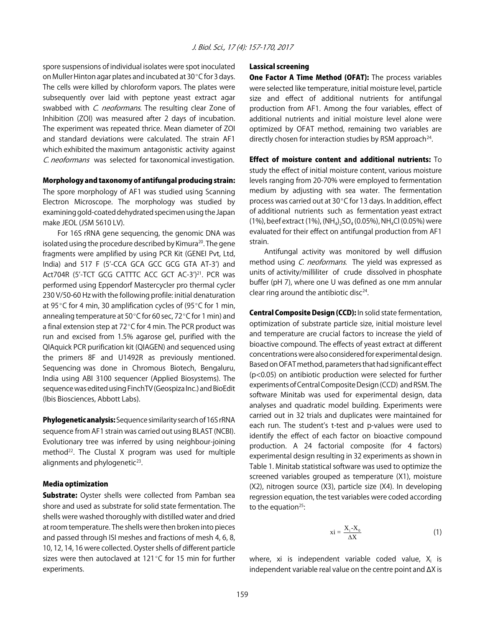spore suspensions of individual isolates were spot inoculated on Muller Hinton agar plates and incubated at  $30^{\circ}$ C for 3 days. The cells were killed by chloroform vapors. The plates were subsequently over laid with peptone yeast extract agar swabbed with C. neoformans. The resulting clear Zone of Inhibition (ZOI) was measured after 2 days of incubation. The experiment was repeated thrice. Mean diameter of ZOI and standard deviations were calculated. The strain AF1 which exhibited the maximum antagonistic activity against C. neoformans was selected for taxonomical investigation.

#### Morphology and taxonomy of antifungal producing strain:

The spore morphology of AF1 was studied using Scanning Electron Microscope. The morphology was studied by examining gold-coated dehydrated specimen using the Japan make JEOL (JSM 5610 LV).

For 16S rRNA gene sequencing, the genomic DNA was isolated using the procedure described by Kimura<sup>20</sup>. The gene fragments were amplified by using PCR Kit (GENEI Pvt, Ltd, India) and 517 F (5'-CCA GCA GCC GCG GTA AT-3') and Act704R (5'-TCT GCG CATTTC ACC GCT AC-3')<sup>21</sup>. PCR was performed using Eppendorf Mastercycler pro thermal cycler 230 V/50-60 Hz with the following profile: initial denaturation at 95 $\degree$ C for 4 min, 30 amplification cycles of (95 $\degree$ C for 1 min, annealing temperature at 50 $\degree$ C for 60 sec, 72 $\degree$ C for 1 min) and a final extension step at  $72^{\circ}$ C for 4 min. The PCR product was run and excised from 1.5% agarose gel, purified with the QIAquick PCR purification kit (QIAGEN) and sequenced using the primers 8F and U1492R as previously mentioned. Sequencing was done in Chromous Biotech, Bengaluru, India using ABI 3100 sequencer (Applied Biosystems). The sequence was edited using FinchTV (Geospiza Inc.) and BioEdit (Ibis Biosciences, Abbott Labs).

**Phylogenetic analysis:** Sequence similarity search of 16S rRNA sequence from AF1 strain was carried out using BLAST (NCBI). Evolutionary tree was inferred by using neighbour-joining method<sup>22</sup>. The Clustal X program was used for multiple alignments and phylogenetic<sup>23</sup>.

#### Media optimization

**Substrate:** Oyster shells were collected from Pamban sea shore and used as substrate for solid state fermentation. The shells were washed thoroughly with distilled water and dried at room temperature. The shells were then broken into pieces and passed through ISI meshes and fractions of mesh 4, 6, 8, 10, 12, 14, 16 were collected. Oyster shells of different particle sizes were then autoclaved at 121 $^{\circ}$ C for 15 min for further experiments.

#### Lassical screening

One Factor A Time Method (OFAT): The process variables were selected like temperature, initial moisture level, particle size and effect of additional nutrients for antifungal production from AF1. Among the four variables, effect of additional nutrients and initial moisture level alone were optimized by OFAT method, remaining two variables are directly chosen for interaction studies by RSM approach<sup>24</sup>.

#### Effect of moisture content and additional nutrients: To

study the effect of initial moisture content, various moisture levels ranging from 20-70% were employed to fermentation medium by adjusting with sea water. The fermentation process was carried out at  $30^{\circ}$ C for 13 days. In addition, effect of additional nutrients such as fermentation yeast extract (1%), beef extract (1%), (NH<sub>4</sub>)<sub>2</sub>SO<sub>4</sub> (0.05%), NH<sub>4</sub>Cl (0.05%) were evaluated for their effect on antifungal production from AF1 strain.

Antifungal activity was monitored by well diffusion method using *C. neoformans*. The yield was expressed as units of activity/milliliter of crude dissolved in phosphate buffer (pH 7), where one U was defined as one mm annular clear ring around the antibiotic disc $24$ .

Central Composite Design (CCD): In solid state fermentation, optimization of substrate particle size, initial moisture level and temperature are crucial factors to increase the yield of bioactive compound. The effects of yeast extract at different concentrations were also considered for experimental design. Based on OFAT method, parameters that had significant effect (p<0.05) on antibiotic production were selected for further experiments of Central Composite Design (CCD) and RSM. The software Minitab was used for experimental design, data analyses and quadratic model building. Experiments were carried out in 32 trials and duplicates were maintained for each run. The student's t-test and p-values were used to identify the effect of each factor on bioactive compound production. A 24 factorial composite (for 4 factors) experimental design resulting in 32 experiments as shown in Table 1. Minitab statistical software was used to optimize the screened variables grouped as temperature (X1), moisture (X2), nitrogen source (X3), particle size (X4). In developing regression equation, the test variables were coded according to the equation $25$ :

$$
xi = \frac{X_i - X_0}{\Delta X} \tag{1}
$$

where, xi is independent variable coded value,  $X_i$  is independent variable real value on the centre point and  $\Delta X$  is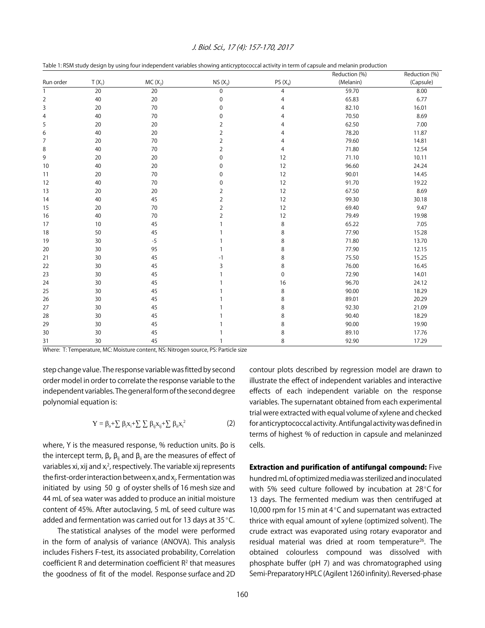|                |          |           |                |                | Reduction (%) | Reduction (%) |
|----------------|----------|-----------|----------------|----------------|---------------|---------------|
| Run order      | $T(X_1)$ | $MC(X_2)$ | $NS(X_3)$      | PS $(X_4)$     | (Melanin)     | (Capsule)     |
| $\mathbf{1}$   | 20       | 20        | $\mathbf 0$    | $\overline{4}$ | 59.70         | 8.00          |
| $\overline{2}$ | 40       | 20        | $\pmb{0}$      | $\overline{4}$ | 65.83         | 6.77          |
| 3              | 20       | $70\,$    | $\mathbf 0$    | 4              | 82.10         | 16.01         |
| 4              | 40       | 70        | $\mathbf 0$    | 4              | 70.50         | 8.69          |
| 5              | 20       | 20        | $\overline{2}$ | 4              | 62.50         | 7.00          |
| 6              | 40       | 20        | 2              | 4              | 78.20         | 11.87         |
| 7              | 20       | 70        | $\overline{2}$ | 4              | 79.60         | 14.81         |
| 8              | 40       | 70        | 2              | $\overline{4}$ | 71.80         | 12.54         |
| 9              | 20       | 20        | $\mathbf 0$    | 12             | 71.10         | 10.11         |
| 10             | 40       | 20        | $\mathbf 0$    | 12             | 96.60         | 24.24         |
| 11             | 20       | 70        | $\mathbf 0$    | 12             | 90.01         | 14.45         |
| 12             | 40       | 70        | $\mathbf 0$    | 12             | 91.70         | 19.22         |
| 13             | 20       | 20        | $\overline{2}$ | 12             | 67.50         | 8.69          |
| 14             | 40       | 45        | $\overline{2}$ | 12             | 99.30         | 30.18         |
| 15             | 20       | 70        | $\overline{2}$ | 12             | 69.40         | 9.47          |
| 16             | 40       | 70        | $\overline{2}$ | 12             | 79.49         | 19.98         |
| 17             | 10       | 45        |                | 8              | 65.22         | 7.05          |
| 18             | 50       | 45        |                | 8              | 77.90         | 15.28         |
| 19             | 30       | $-5$      |                | 8              | 71.80         | 13.70         |
| 20             | 30       | 95        |                | 8              | 77.90         | 12.15         |
| 21             | 30       | 45        | -1             | 8              | 75.50         | 15.25         |
| 22             | 30       | 45        | 3              | 8              | 76.00         | 16.45         |
| 23             | 30       | 45        |                | $\pmb{0}$      | 72.90         | 14.01         |
| 24             | 30       | 45        |                | 16             | 96.70         | 24.12         |
| 25             | 30       | 45        |                | 8              | 90.00         | 18.29         |
| 26             | 30       | 45        |                | 8              | 89.01         | 20.29         |
| 27             | 30       | 45        |                | 8              | 92.30         | 21.09         |
| 28             | 30       | 45        |                | 8              | 90.40         | 18.29         |
| 29             | 30       | 45        |                | 8              | 90.00         | 19.90         |
| 30             | 30       | 45        |                | 8              | 89.10         | 17.76         |
| 31             | 30       | 45        |                | 8              | 92.90         | 17.29         |

Table 1: RSM study design by using four independent variables showing anticryptococcal activity in term of capsule and melanin production

Where: T: Temperature, MC: Moisture content, NS: Nitrogen source, PS: Particle size

step change value. The response variable was fitted by second order model in order to correlate the response variable to the independent variables. The general form of the second degree polynomial equation is:

$$
Y = \beta_{o} + \sum \beta_{i} x_{i} + \sum \sum \beta_{ij} x_{ij} + \sum \beta_{ii} x_{i}^{2}
$$
 (2)

where, Y is the measured response, % reduction units.  $\beta$ o is the intercept term,  $\beta_{i\prime}$   $\beta_{i\rm i}$  and  $\beta_{i\rm i}$  are the measures of effect of variables xi, xij and x<sub>i</sub><sup>2</sup>, respectively. The variable xij represents the first-order interaction between  $x_i$  and  $x_j$ . Fermentation was initiated by using 50 g of oyster shells of 16 mesh size and 44 mL of sea water was added to produce an initial moisture content of 45%. After autoclaving, 5 mL of seed culture was added and fermentation was carried out for 13 days at 35 $^{\circ}$ C.

The statistical analyses of the model were performed in the form of analysis of variance (ANOVA). This analysis includes Fishers F-test, its associated probability, Correlation coefficient R and determination coefficient  $R<sup>2</sup>$  that measures the goodness of fit of the model. Response surface and 2D contour plots described by regression model are drawn to illustrate the effect of independent variables and interactive effects of each independent variable on the response variables. The supernatant obtained from each experimental trial were extracted with equal volume of xylene and checked for anticryptococcal activity. Antifungal activity was defined in terms of highest % of reduction in capsule and melaninzed cells.

Extraction and purification of antifungal compound: Five hundred mL of optimized media was sterilized and inoculated with 5% seed culture followed by incubation at  $28^{\circ}$ C for 13 days. The fermented medium was then centrifuged at 10,000 rpm for 15 min at  $4^{\circ}$ C and supernatant was extracted thrice with equal amount of xylene (optimized solvent). The crude extract was evaporated using rotary evaporator and residual material was dried at room temperature<sup>26</sup>. The obtained colourless compound was dissolved with phosphate buffer (pH 7) and was chromatographed using Semi-Preparatory HPLC (Agilent 1260 infinity). Reversed-phase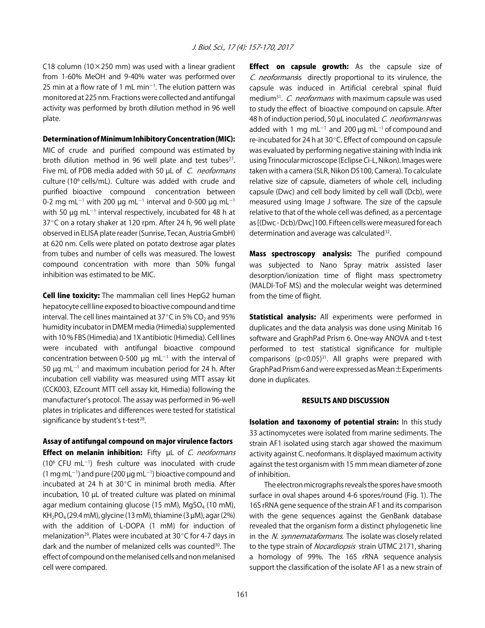C18 column (10 $\times$ 250 mm) was used with a linear gradient from 1-60% MeOH and 9-40% water was performed over 25 min at a flow rate of 1 mL min $^{-1}$ . The elution pattern was monitored at 225 nm. Fractions were collected and antifungal activity was performed by broth dilution method in 96 well plate.

#### Determination of Minimum Inhibitory Concentration (MIC):

MIC of crude and purified compound was estimated by broth dilution method in 96 well plate and test tubes $27$ . Five mL of PDB media added with 50 µL of C. neoformans culture (10<sup>6</sup> cells/mL). Culture was added with crude and purified bioactive compound concentration between 0-2 mg mL<sup>-1</sup> with 200 µg mL<sup>-1</sup> interval and 0-500 µg mL<sup>-1</sup> with 50  $\mu$ g mL<sup>-1</sup> interval respectively, incubated for 48 h at 37°C on a rotary shaker at 120 rpm. After 24 h, 96 well plate observed in ELISA plate reader (Sunrise, Tecan, Austria GmbH) at 620 nm. Cells were plated on potato dextrose agar plates from tubes and number of cells was measured. The lowest compound concentration with more than 50% fungal inhibition was estimated to be MIC.

Cell line toxicity: The mammalian cell lines HepG2 human hepatocyte cell line exposed to bioactive compound and time interval. The cell lines maintained at 37 $\degree$ C in 5% CO<sub>2</sub> and 95% humidity incubator in DMEM media (Himedia) supplemented with 10 % FBS (Himedia) and 1X antibiotic (Himedia). Cell lines were incubated with antifungal bioactive compound concentration between 0-500  $\mu$ g mL<sup>-1</sup> with the interval of 50  $\mu$ g mL<sup>-1</sup> and maximum incubation period for 24 h. After incubation cell viability was measured using MTT assay kit (CCK003, EZcount MTT cell assay kit, Himedia) following the manufacturer's protocol. The assay was performed in 96-well plates in triplicates and differences were tested for statistical significance by student's t-test<sup>28</sup>.

Assay of antifungal compound on major virulence factors

**Effect on melanin inhibition:** Fifty uL of C. neoformans  $(10^6$  CFU mL $^{-1}$ ) fresh culture was inoculated with crude  $(1 \text{ mg} \text{ mL}^{-1})$  and pure  $(200 \mu g \text{ mL}^{-1})$  bioactive compound and incubated at 24 h at  $30^{\circ}$ C in minimal broth media. After incubation, 10 µL of treated culture was plated on minimal agar medium containing glucose (15 mM), MgSO<sub>4</sub> (10 mM),  $KH<sub>2</sub>PO<sub>4</sub>$  (29.4 mM), glycine (13 mM), thiamine (3  $\mu$ M), agar (2%) with the addition of L-DOPA (1 mM) for induction of melanization<sup>29</sup>. Plates were incubated at 30 $\degree$ C for 4-7 days in dark and the number of melanized cells was counted<sup>30</sup>. The effect of compound on the melanised cells and non melanised cell were compared.

**Effect on capsule growth:** As the capsule size of C. neoformansis directly proportional to its virulence, the capsule was induced in Artificial cerebral spinal fluid medium<sup>31</sup>. C. *neoformans* with maximum capsule was used to study the effect of bioactive compound on capsule. After 48 h of induction period, 50 µL inoculated C. neoformans was added with 1 mg mL<sup>-1</sup> and 200  $\mu$ g mL<sup>-1</sup> of compound and re-incubated for 24 h at 30°C. Effect of compound on capsule was evaluated by performing negative staining with India ink using Trinocular microscope (Eclipse Ci-L, Nikon). Images were taken with a camera (SLR, Nikon D5100, Camera). To calculate relative size of capsule, diameters of whole cell, including capsule (Dwc) and cell body limited by cell wall (Dcb), were measured using Image J software. The size of the capsule relative to that of the whole cell was defined, as a percentage as [(Dwc - Dcb)/Dwc]100. Fifteen cells were measured for each determination and average was calculated<sup>32</sup>.

Mass spectroscopy analysis: The purified compound was subjected to Nano Spray matrix assisted laser desorption/ionization time of flight mass spectrometry (MALDI-ToF MS) and the molecular weight was determined from the time of flight.

Statistical analysis: All experiments were performed in duplicates and the data analysis was done using Minitab 16 software and GraphPad Prism 6. One-way ANOVA and t-test performed to test statistical significance for multiple comparisons  $(p<0.05)^{31}$ . All graphs were prepared with GraphPad Prism 6 and were expressed as Mean±Experiments done in duplicates.

#### RESULTS AND DISCUSSION

Isolation and taxonomy of potential strain: In this study 33 actinomycetes were isolated from marine sediments. The strain AF1 isolated using starch agar showed the maximum activity against C. neoformans. It displayed maximum activity against the test organism with 15 mm mean diameter of zone of inhibition.

The electron micrographs reveals the spores have smooth surface in oval shapes around 4-6 spores/round (Fig. 1). The 16S rRNA gene sequence of the strain AF1 and its comparison with the gene sequences against the GenBank database revealed that the organism form a distinct phylogenetic line in the N. synnemataformans. The isolate was closely related to the type strain of *Nocardiopsis* strain UTMC 2171, sharing a homology of 99%. The 16S rRNA sequence analysis support the classification of the isolate AF1 as a new strain of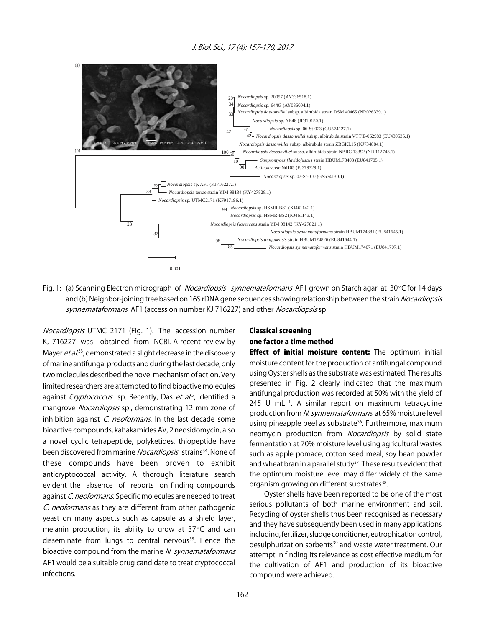

Fig. 1: (a) Scanning Electron micrograph of *Nocardiopsis synnemataformans* AF1 grown on Starch agar at 30°C for 14 days and (b) Neighbor-joining tree based on 16S rDNA gene sequences showing relationship between the strain *Nocardiopsis* synnemataformans AF1 (accession number KJ 716227) and other Nocardiopsis sp

Nocardiopsis UTMC 2171 (Fig. 1). The accession number KJ 716227 was obtained from NCBI. A recent review by Mayer et al.<sup>33</sup>, demonstrated a slight decrease in the discovery of marine antifungal products and during the last decade, only two molecules described the novel mechanism of action. Very limited researchers are attempted to find bioactive molecules against *Cryptococcus* sp. Recently, Das et al.<sup>5</sup>, identified a mangrove Nocardiopsis sp., demonstrating 12 mm zone of inhibition against  $C$ . neoformans. In the last decade some bioactive compounds, kahakamides AV, 2 neosidomycin, also a novel cyclic tetrapeptide, polyketides, thiopeptide have been discovered from marine *Nocardiopsis* strains<sup>34</sup>. None of these compounds have been proven to exhibit anticryptococcal activity. A thorough literature search evident the absence of reports on finding compounds against C. neoformans. Specific molecules are needed to treat C. neoformans as they are different from other pathogenic yeast on many aspects such as capsule as a shield layer, melanin production, its ability to grow at  $37^{\circ}$ C and can disseminate from lungs to central nervous<sup>35</sup>. Hence the bioactive compound from the marine N. synnemataformans AF1 would be a suitable drug candidate to treat cryptococcal infections.

### Classical screening one factor a time method

Effect of initial moisture content: The optimum initial moisture content for the production of antifungal compound using Oyster shells as the substrate was estimated. The results presented in Fig. 2 clearly indicated that the maximum antifungal production was recorded at 50% with the yield of  $245$  U mL $^{-1}$ . A similar report on maximum tetracycline production from N. synnemataformans at 65% moisture level using pineapple peel as substrate<sup>36</sup>. Furthermore, maximum neomycin production from Nocardiopsis by solid state fermentation at 70% moisture level using agricultural wastes such as apple pomace, cotton seed meal, soy bean powder and wheat bran in a parallel study<sup>37</sup>. These results evident that the optimum moisture level may differ widely of the same organism growing on different substrates<sup>38</sup>.

Oyster shells have been reported to be one of the most serious pollutants of both marine environment and soil. Recycling of oyster shells thus been recognised as necessary and they have subsequently been used in many applications including, fertilizer, sludge conditioner, eutrophication control, desulphurization sorbents<sup>39</sup> and waste water treatment. Our attempt in finding its relevance as cost effective medium for the cultivation of AF1 and production of its bioactive compound were achieved.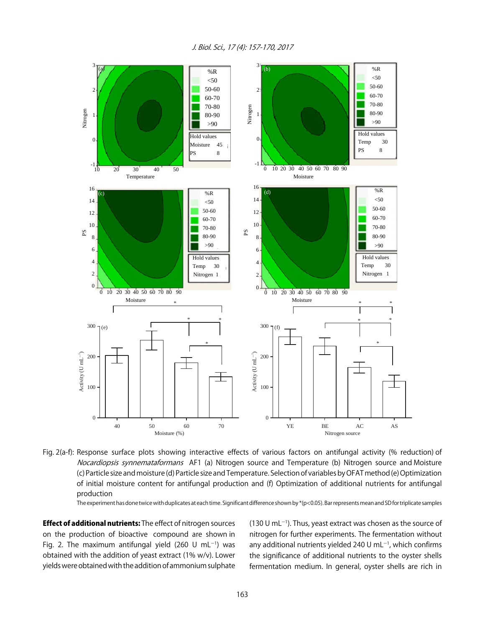

Fig. 2(a-f): Response surface plots showing interactive effects of various factors on antifungal activity (% reduction) of Nocardiopsis synnemataformans AF1 (a) Nitrogen source and Temperature (b) Nitrogen source and Moisture (c) Particle size and moisture (d) Particle size and Temperature. Selection of variables by OFAT method (e) Optimization of initial moisture content for antifungal production and (f) Optimization of additional nutrients for antifungal production

The experiment has done twice with duplicates at each time. Significant difference shown by  $*(p<0.05)$ . Bar represents mean and SD for triplicate samples

**Effect of additional nutrients:** The effect of nitrogen sources on the production of bioactive compound are shown in Fig. 2. The maximum antifungal yield (260 U mL $^{-1}$ ) was obtained with the addition of yeast extract (1% w/v). Lower yields were obtained with the addition of ammonium sulphate

 $(130 U \text{ mL}^{-1})$ . Thus, yeast extract was chosen as the source of nitrogen for further experiments. The fermentation without any additional nutrients yielded 240 U mL $^{-1}$ , which confirms the significance of additional nutrients to the oyster shells fermentation medium. In general, oyster shells are rich in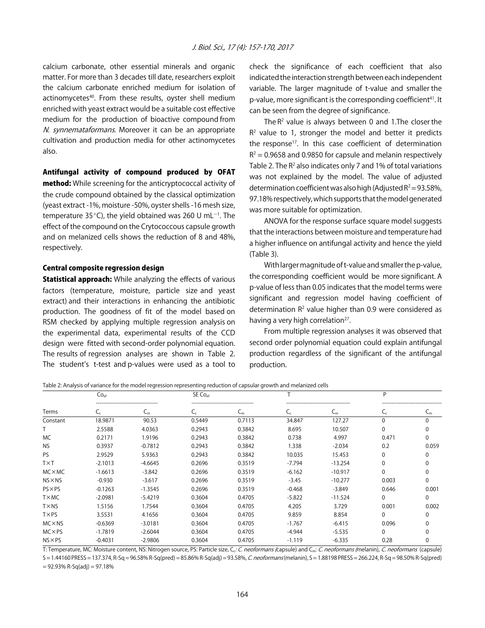calcium carbonate, other essential minerals and organic matter. For more than 3 decades till date, researchers exploit the calcium carbonate enriched medium for isolation of actinomycetes<sup>40</sup>. From these results, oyster shell medium enriched with yeast extract would be a suitable cost effective medium for the production of bioactive compound from N. synnemataformans. Moreover it can be an appropriate cultivation and production media for other actinomycetes also.

#### Antifungal activity of compound produced by OFAT

method: While screening for the anticryptococcal activity of the crude compound obtained by the classical optimization (yeast extract -1%, moisture -50%, oyster shells -16 mesh size, temperature 35 $^{\circ}$ C), the yield obtained was 260 U mL $^{-1}$ . The effect of the compound on the Crytococcous capsule growth and on melanized cells shows the reduction of 8 and 48%, respectively.

#### Central composite regression design

**Statistical approach:** While analyzing the effects of various factors (temperature, moisture, particle size and yeast extract) and their interactions in enhancing the antibiotic production. The goodness of fit of the model based on RSM checked by applying multiple regression analysis on the experimental data, experimental results of the CCD design were fitted with second-order polynomial equation. The results of regression analyses are shown in Table 2. The student's t-test and p-values were used as a tool to

check the significance of each coefficient that also indicated the interaction strength between each independent variable. The larger magnitude of t-value and smaller the p-value, more significant is the corresponding coefficient<sup>41</sup>. It can be seen from the degree of significance.

The  $R<sup>2</sup>$  value is always between 0 and 1. The closer the  $R<sup>2</sup>$  value to 1, stronger the model and better it predicts the response<sup>17</sup>. In this case coefficient of determination  $R<sup>2</sup> = 0.9658$  and 0.9850 for capsule and melanin respectively Table 2. The  $R^2$  also indicates only 7 and 1% of total variations was not explained by the model. The value of adjusted determination coefficient was also high (Adjusted  $R^2$  = 93.58%, 97.18% respectively, which supports that the model generated was more suitable for optimization.

ANOVA for the response surface square model suggests that the interactions between moisture and temperature had a higher influence on antifungal activity and hence the yield (Table 3).

With larger magnitude of t-value and smaller the p-value, the corresponding coefficient would be more significant. A p-value of less than 0.05 indicates that the model terms were significant and regression model having coefficient of determination  $R<sup>2</sup>$  value higher than 0.9 were considered as having a very high correlation<sup>27</sup>.

From multiple regression analyses it was observed that second order polynomial equation could explain antifungal production regardless of the significant of the antifungal production.

Table 2: Analysis of variance for the model regression representing reduction of capsular growth and melanized cells

| Terms           | Co <sub>ef</sub>                                     |           | SE Co <sub>ef</sub> |                                           |                           |                                            | D                                   |          |  |
|-----------------|------------------------------------------------------|-----------|---------------------|-------------------------------------------|---------------------------|--------------------------------------------|-------------------------------------|----------|--|
|                 | ----------------------------------<br>$\mathsf{C}_c$ | ີ         | ∽∼                  | -----------------------------------<br>◡ᇭ | $\mathcal{L}_\mathcal{C}$ | ------------------------------------<br>∽m | -----------------------------<br>∽∈ | ֊ՠ       |  |
| Constant        | 18.9871                                              | 90.53     | 0.5449              | 0.7113                                    | 34.847                    | 127.27                                     | $\Omega$                            |          |  |
|                 | 2.5588                                               | 4.0363    | 0.2943              | 0.3842                                    | 8.695                     | 10.507                                     | $\Omega$                            |          |  |
| <b>MC</b>       | 0.2171                                               | 1.9196    | 0.2943              | 0.3842                                    | 0.738                     | 4.997                                      | 0.471                               | 0        |  |
| <b>NS</b>       | 0.3937                                               | $-0.7812$ | 0.2943              | 0.3842                                    | 1.338                     | $-2.034$                                   | 0.2                                 | 0.059    |  |
| <b>PS</b>       | 2.9529                                               | 5.9363    | 0.2943              | 0.3842                                    | 10.035                    | 15.453                                     | $\mathbf 0$                         |          |  |
| <b>TXT</b>      | $-2.1013$                                            | $-4.6645$ | 0.2696              | 0.3519                                    | $-7.794$                  | $-13.254$                                  | $\Omega$                            |          |  |
| $MC \times MC$  | $-1.6613$                                            | $-3.842$  | 0.2696              | 0.3519                                    | $-6.162$                  | $-10.917$                                  | $\Omega$                            |          |  |
| $NS \times NS$  | $-0.930$                                             | $-3.617$  | 0.2696              | 0.3519                                    | $-3.45$                   | $-10.277$                                  | 0.003                               | $\Omega$ |  |
| $PS \times PS$  | $-0.1263$                                            | $-1.3545$ | 0.2696              | 0.3519                                    | $-0.468$                  | $-3.849$                                   | 0.646                               | 0.001    |  |
| $T \times MC$   | $-2.0981$                                            | $-5.4219$ | 0.3604              | 0.4705                                    | $-5.822$                  | $-11.524$                                  | $\Omega$                            | $\Omega$ |  |
| TX <sub>N</sub> | .5156                                                | 1.7544    | 0.3604              | 0.4705                                    | 4.205                     | 3.729                                      | 0.001                               | 0.002    |  |
| TXPS            | 3.5531                                               | 4.1656    | 0.3604              | 0.4705                                    | 9.859                     | 8.854                                      | $\Omega$                            |          |  |
| $MC \times NS$  | $-0.6369$                                            | $-3.0181$ | 0.3604              | 0.4705                                    | $-1.767$                  | $-6.415$                                   | 0.096                               |          |  |
| $MC \times PS$  | $-1.7819$                                            | $-2.6044$ | 0.3604              | 0.4705                                    | $-4.944$                  | $-5.535$                                   | $\Omega$                            |          |  |
| $NS \times PS$  | $-0.4031$                                            | $-2.9806$ | 0.3604              | 0.4705                                    | $-1.119$                  | $-6.335$                                   | 0.28                                |          |  |

T: Temperature, MC: Moisture content, NS: Nitrogen source, PS: Particle size, C<sub>c</sub>: C. neoformans (capsule) and C<sub>m</sub>: C. neoformans (melanin), C. neoformans (capsule)

S = 1.44160 PRESS = 137.374, R-Sq = 96.58% R-Sq(pred) = 85.86% R-Sq(adj) = 93.58%, C. neoformans (melanin), S = 1.88198 PRESS = 266.224, R-Sq = 98.50% R-Sq (pred)  $= 92.93\%$  R-Sq(adj) = 97.18%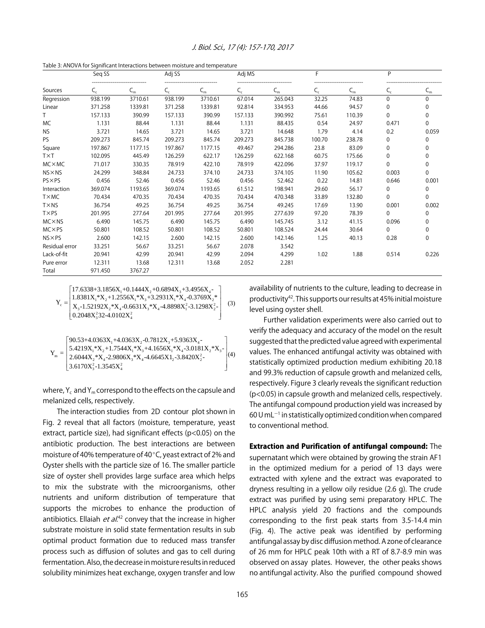| Table 3: ANOVA for Significant Interactions between moisture and temperature |  |
|------------------------------------------------------------------------------|--|
|------------------------------------------------------------------------------|--|

|                | Seq SS  |                           | Adj SS         |                           | Adj MS                    |         | F                         |         | P                         |          |
|----------------|---------|---------------------------|----------------|---------------------------|---------------------------|---------|---------------------------|---------|---------------------------|----------|
| Sources        | C,      | $\mathsf{C}_{\mathsf{m}}$ | $\mathsf{C}_c$ | $\mathsf{C}_{\mathsf{m}}$ | $\mathsf{C}_{\mathsf{c}}$ | $C_{m}$ | $\mathsf{C}_{\mathsf{c}}$ | $C_{m}$ | $\mathsf{C}_{\mathsf{c}}$ | $C_{m}$  |
| Regression     | 938.199 | 3710.61                   | 938.199        | 3710.61                   | 67.014                    | 265.043 | 32.25                     | 74.83   | $\Omega$                  | 0        |
| Linear         | 371.258 | 1339.81                   | 371.258        | 1339.81                   | 92.814                    | 334.953 | 44.66                     | 94.57   | $\Omega$                  | 0        |
|                | 157.133 | 390.99                    | 157.133        | 390.99                    | 157.133                   | 390.992 | 75.61                     | 110.39  | $\Omega$                  | 0        |
| МC             | 1.131   | 88.44                     | 1.131          | 88.44                     | 1.131                     | 88.435  | 0.54                      | 24.97   | 0.471                     | 0        |
| <b>NS</b>      | 3.721   | 14.65                     | 3.721          | 14.65                     | 3.721                     | 14.648  | 1.79                      | 4.14    | 0.2                       | 0.059    |
| <b>PS</b>      | 209.273 | 845.74                    | 209.273        | 845.74                    | 209.273                   | 845.738 | 100.70                    | 238.78  | 0                         | 0        |
| Square         | 197.867 | 1177.15                   | 197.867        | 1177.15                   | 49.467                    | 294.286 | 23.8                      | 83.09   | $\Omega$                  | 0        |
| <b>TXT</b>     | 102.095 | 445.49                    | 126.259        | 622.17                    | 126.259                   | 622.168 | 60.75                     | 175.66  | $\Omega$                  | 0        |
| $MC \times MC$ | 71.017  | 330.35                    | 78.919         | 422.10                    | 78.919                    | 422.096 | 37.97                     | 119.17  | $\Omega$                  | 0        |
| $NS \times NS$ | 24.299  | 348.84                    | 24.733         | 374.10                    | 24.733                    | 374.105 | 11.90                     | 105.62  | 0.003                     | $\Omega$ |
| $PS \times PS$ | 0.456   | 52.46                     | 0.456          | 52.46                     | 0.456                     | 52.462  | 0.22                      | 14.81   | 0.646                     | 0.001    |
| Interaction    | 369.074 | 1193.65                   | 369.074        | 1193.65                   | 61.512                    | 198.941 | 29.60                     | 56.17   | $\Omega$                  | 0        |
| TXMC           | 70.434  | 470.35                    | 70.434         | 470.35                    | 70.434                    | 470.348 | 33.89                     | 132.80  | $\Omega$                  | $\Omega$ |
| $T \times NS$  | 36.754  | 49.25                     | 36.754         | 49.25                     | 36.754                    | 49.245  | 17.69                     | 13.90   | 0.001                     | 0.002    |
| TXPS           | 201.995 | 277.64                    | 201.995        | 277.64                    | 201.995                   | 277.639 | 97.20                     | 78.39   | $\Omega$                  | 0        |
| $MC \times NS$ | 6.490   | 145.75                    | 6.490          | 145.75                    | 6.490                     | 145.745 | 3.12                      | 41.15   | 0.096                     | 0        |
| $MC \times PS$ | 50.801  | 108.52                    | 50.801         | 108.52                    | 50.801                    | 108.524 | 24.44                     | 30.64   | $\Omega$                  | 0        |
| $NS \times PS$ | 2.600   | 142.15                    | 2.600          | 142.15                    | 2.600                     | 142.146 | 1.25                      | 40.13   | 0.28                      | 0        |
| Residual error | 33.251  | 56.67                     | 33.251         | 56.67                     | 2.078                     | 3.542   |                           |         |                           |          |
| Lack-of-fit    | 20.941  | 42.99                     | 20.941         | 42.99                     | 2.094                     | 4.299   | 1.02                      | 1.88    | 0.514                     | 0.226    |
| Pure error     | 12.311  | 13.68                     | 12.311         | 13.68                     | 2.052                     | 2.281   |                           |         |                           |          |
| Total          | 971.450 | 3767.27                   |                |                           |                           |         |                           |         |                           |          |

(3)  $17.6338 + 3.1856X_1 + 0.1444X_2 + 0.6894X_3 + 3.4956X_4$  $\sum_{i=1}^{3}$  1.0501 $X_1$   $X_2$ +1.2550 $X_1$   $X_3$ +3.2551 $X_1$   $X_4$ -0.5705 $X_2$  $\left[0.2048X_3^232-4.0102X_4^2\right]$  $\footnotesize \begin{aligned} \mathbf{Y}_{\mathrm{c}} = \begin{vmatrix} 1.8381\mathbf{X}_{\mathrm{i}}\text{*}\mathbf{X}_{\mathrm{2}}\text{+}1.2556\mathbf{X}_{\mathrm{i}}\text{*}\mathbf{X}_{\mathrm{3}}\text{+}3.2931\mathbf{X}_{\mathrm{i}}\text{*}\mathbf{X}_{\mathrm{4}}\text{-}0.3769\mathbf{X}_{\mathrm{2}}\text{*}\ \mathbf{X}_{\mathrm{3}}\text{-}1.52192\mathbf{X}_{\mathrm{2}}\text{*}\mathbf{X}_{\mathrm{4}}\text{-}0.6631\mathbf{X}_{\mathrm{3$  $17.6338+3.1856X_1+0.1444X_2+0.6894X_3+3.4956X_4-$ <br> $1.8381X *X +1.2556X *X +3.2931X *X -0.3769X *$  $Y_{\circ} =$ 

$$
Y_{m}=\left[\begin{matrix} 90.53+4.0363X_1+4.0363X_2-0.7812X_3+5.9363X_4-\\ 5.4219X_1^*X_2+1.7544X_1^*X_3+4.1656X_1^*X_4-3.0181X_2^*X_3-\\ 2.6044X_2^*X_4-2.9806X_3^*X_4-4.6645X1_2\text{-}3.8420X_2^2-\\ 3.6170X_3^2\text{-}1.3545X_4^2 \end{matrix}\right]\hspace{-0.8cm}\left.\left| \begin{matrix} 40\end{matrix}\right|
$$

where,  $Y_c$  and  $Y_m$  correspond to the effects on the capsule and melanized cells, respectively.

The interaction studies from 2D contour plot shown in Fig. 2 reveal that all factors (moisture, temperature, yeast extract, particle size), had significant effects (p<0.05) on the antibiotic production. The best interactions are between moisture of 40% temperature of 40 $\degree$ C, yeast extract of 2% and Oyster shells with the particle size of 16. The smaller particle size of oyster shell provides large surface area which helps to mix the substrate with the microorganisms, other nutrients and uniform distribution of temperature that supports the microbes to enhance the production of antibiotics. Ellaiah *et al*.<sup>42</sup> convey that the increase in higher substrate moisture in solid state fermentation results in sub optimal product formation due to reduced mass transfer process such as diffusion of solutes and gas to cell during fermentation. Also, the decrease in moisture results in reduced solubility minimizes heat exchange, oxygen transfer and low

availability of nutrients to the culture, leading to decrease in productivity42. This supports our results at 45% initial moisture level using oyster shell.

Further validation experiments were also carried out to verify the adequacy and accuracy of the model on the result suggested that the predicted value agreed with experimental values. The enhanced antifungal activity was obtained with statistically optimized production medium exhibiting 20.18 and 99.3% reduction of capsule growth and melanized cells, respectively. Figure 3 clearly reveals the significant reduction (p<0.05) in capsule growth and melanized cells, respectively. The antifungal compound production yield was increased by  $60$  U mL $^{-1}$  in statistically optimized condition when compared to conventional method.

## Extraction and Purification of antifungal compound: The

supernatant which were obtained by growing the strain AF1 in the optimized medium for a period of 13 days were extracted with xylene and the extract was evaporated to dryness resulting in a yellow oily residue (2.6 g). The crude extract was purified by using semi preparatory HPLC. The HPLC analysis yield 20 fractions and the compounds corresponding to the first peak starts from 3.5-14.4 min (Fig. 4). The active peak was identified by performing antifungal assay by disc diffusion method. A zone of clearance of 26 mm for HPLC peak 10th with a RT of 8.7-8.9 min was observed on assay plates. However, the other peaks shows no antifungal activity. Also the purified compound showed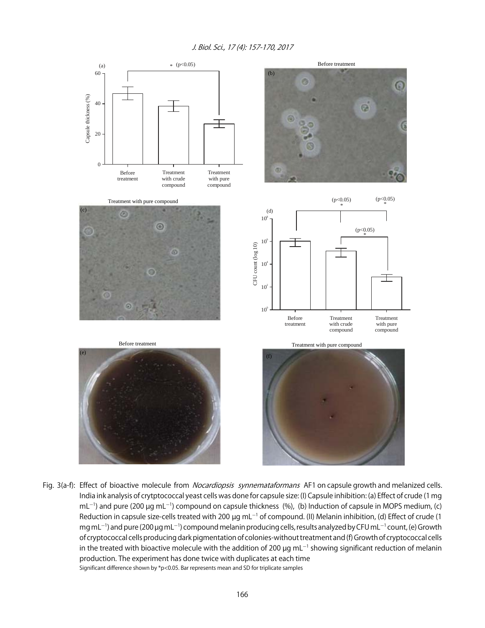

Fig. 3(a-f): Effect of bioactive molecule from *Nocardiopsis synnemataformans* AF1 on capsule growth and melanized cells. India ink analysis of crytptococcal yeast cells was done for capsule size: (I) Capsule inhibition: (a) Effect of crude (1 mg  $ml^{-1}$ ) and pure (200 µg mL<sup>-1</sup>) compound on capsule thickness (%), (b) Induction of capsule in MOPS medium, (c) Reduction in capsule size-cells treated with 200  $\mu$ g mL $^{-1}$  of compound. (II) Melanin inhibition, (d) Effect of crude (1 mg mL<sup>-1</sup>) and pure (200 µg mL<sup>-1</sup>) compound melanin producing cells, results analyzed by CFU mL<sup>-1</sup> count, (e) Growth of cryptococcal cells producing dark pigmentation of colonies-without treatment and (f) Growth of cryptococcal cells in the treated with bioactive molecule with the addition of 200  $\mu$ g mL<sup>-1</sup> showing significant reduction of melanin production. The experiment has done twice with duplicates at each time Significant difference shown by \*p<0.05. Bar represents mean and SD for triplicate samples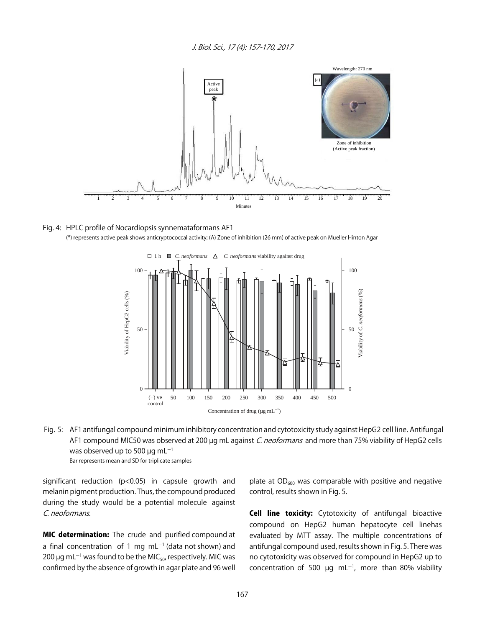

#### Fig. 4: HPLC profile of Nocardiopsis synnemataformans AF1 (\*) represents active peak shows anticryptococcal activity; (A) Zone of inhibition (26 mm) of active peak on Mueller Hinton Agar



 Fig. 5: AF1 antifungal compound minimum inhibitory concentration and cytotoxicity study against HepG2 cell line. Antifungal AF1 compound MIC50 was observed at 200 µg mL against C. neoformans and more than 75% viability of HepG2 cells was observed up to 500  $\mu$ g mL<sup>-1</sup> Bar represents mean and SD for triplicate samples

significant reduction (p<0.05) in capsule growth and melanin pigment production. Thus, the compound produced during the study would be a potential molecule against C. neoformans.

**MIC determination:** The crude and purified compound at a final concentration of 1 mg  $mL^{-1}$  (data not shown) and 200  $\mu$ g mL<sup>-1</sup> was found to be the MIC<sub>50</sub>, respectively. MIC was confirmed by the absence of growth in agar plate and 96 well

plate at  $OD_{600}$  was comparable with positive and negative control, results shown in Fig. 5.

**Cell line toxicity:** Cytotoxicity of antifungal bioactive compound on HepG2 human hepatocyte cell linehas evaluated by MTT assay. The multiple concentrations of antifungal compound used, results shown in Fig. 5. There was no cytotoxicity was observed for compound in HepG2 up to concentration of 500  $\mu$ g mL<sup>-1</sup>, more than 80% viability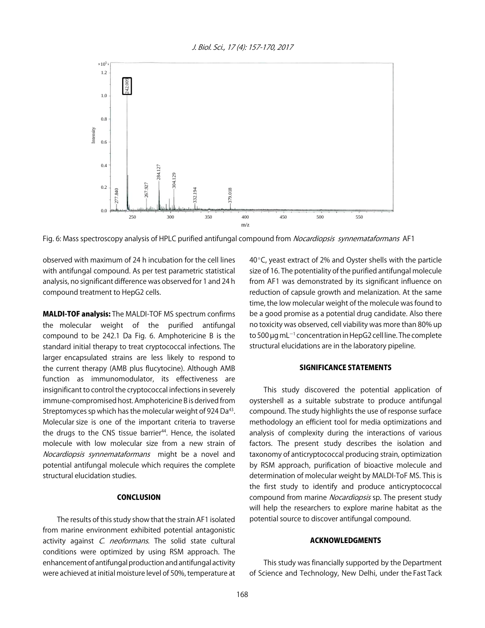

Fig. 6: Mass spectroscopy analysis of HPLC purified antifungal compound from *Nocardiopsis synnemataformans* AF1

observed with maximum of 24 h incubation for the cell lines with antifungal compound. As per test parametric statistical analysis, no significant difference was observed for 1 and 24 h compound treatment to HepG2 cells.

MALDI-TOF analysis: The MALDI-TOF MS spectrum confirms the molecular weight of the purified antifungal compound to be 242.1 Da Fig. 6. Amphotericine B is the standard initial therapy to treat cryptococcal infections. The larger encapsulated strains are less likely to respond to the current therapy (AMB plus flucytocine). Although AMB function as immunomodulator, its effectiveness are insignificant to control the cryptococcal infections in severely immune-compromised host. Amphotericine B is derived from Streptomyces sp which has the molecular weight of 924 Da<sup>43</sup>. Molecular size is one of the important criteria to traverse the drugs to the CNS tissue barrier<sup>44</sup>. Hence, the isolated molecule with low molecular size from a new strain of Nocardiopsis synnemataformans might be a novel and potential antifungal molecule which requires the complete structural elucidation studies.

#### **CONCLUSION**

The results of this study show that the strain AF1 isolated from marine environment exhibited potential antagonistic activity against C. neoformans. The solid state cultural conditions were optimized by using RSM approach. The enhancement of antifungal production and antifungal activity were achieved at initial moisture level of 50%, temperature at  $40^{\circ}$ C, yeast extract of 2% and Oyster shells with the particle size of 16. The potentiality of the purified antifungal molecule from AF1 was demonstrated by its significant influence on reduction of capsule growth and melanization. At the same time, the low molecular weight of the molecule was found to be a good promise as a potential drug candidate. Also there no toxicity was observed, cell viability was more than 80% up to 500  $\mu$ g mL $^{-1}$  concentration in HepG2 cell line. The complete structural elucidations are in the laboratory pipeline.

#### SIGNIFICANCE STATEMENTS

This study discovered the potential application of oystershell as a suitable substrate to produce antifungal compound. The study highlights the use of response surface methodology an efficient tool for media optimizations and analysis of complexity during the interactions of various factors. The present study describes the isolation and taxonomy of anticryptococcal producing strain, optimization by RSM approach, purification of bioactive molecule and determination of molecular weight by MALDI-ToF MS. This is the first study to identify and produce anticryptococcal compound from marine Nocardiopsis sp. The present study will help the researchers to explore marine habitat as the potential source to discover antifungal compound.

#### ACKNOWLEDGMENTS

This study was financially supported by the Department of Science and Technology, New Delhi, under the Fast Tack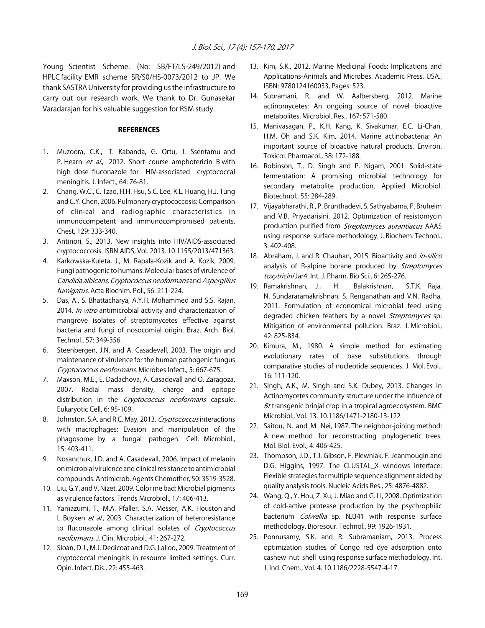Young Scientist Scheme. (No: SB/FT/LS-249/2012) and HPLC facility EMR scheme SR/S0/HS-0073/2012 to JP. We thank SASTRA University for providing us the infrastructure to carry out our research work. We thank to Dr. Gunasekar Varadarajan for his valuable suggestion for RSM study.

#### **REFERENCES**

- 1. Muzoora, C.K., T. Kabanda, G. Ortu, J. Ssentamu and P. Hearn et al., 2012. Short course amphotericin B with high dose fluconazole for HIV-associated cryptococcal meningitis. J. Infect., 64: 76-81.
- 2. Chang, W.C., C. Tzao, H.H. Hsu, S.C. Lee, K.L. Huang, H.J. Tung and C.Y. Chen, 2006. Pulmonary cryptococcosis: Comparison of clinical and radiographic characteristics in immunocompetent and immunocompromised patients. Chest, 129: 333-340.
- 3. Antinori, S., 2013. New insights into HIV/AIDS-associated cryptococcosis. ISRN AIDS, Vol. 2013. 10.1155/2013/471363.
- 4. Karkowska-Kuleta, J., M. Rapala-Kozik and A. Kozik, 2009. Fungi pathogenic to humans: Molecular bases of virulence of Candida albicans, Cryptococcus neoformans and Aspergillus fumigatus. Acta Biochim. Pol., 56: 211-224.
- 5. Das, A., S. Bhattacharya, A.Y.H. Mohammed and S.S. Rajan, 2014. In vitro antimicrobial activity and characterization of mangrove isolates of streptomycetes effective against bacteria and fungi of nosocomial origin. Braz. Arch. Biol. Technol., 57: 349-356.
- 6. Steenbergen, J.N. and A. Casadevall, 2003. The origin and maintenance of virulence for the human pathogenic fungus Cryptococcus neoformans. Microbes Infect., 5: 667-675.
- 7. Maxson, M.E., E. Dadachova, A. Casadevall and O. Zaragoza, 2007. Radial mass density, charge and epitope distribution in the Cryptococcus neoformans capsule. Eukaryotic Cell, 6: 95-109.
- 8. Johnston, S.A. and R.C. May, 2013. Cryptococcus interactions with macrophages: Evasion and manipulation of the phagosome by a fungal pathogen. Cell. Microbiol., 15: 403-411.
- 9. Nosanchuk, J.D. and A. Casadevall, 2006. Impact of melanin on microbial virulence and clinical resistance to antimicrobial compounds. Antimicrob. Agents Chemother, 50: 3519-3528.
- 10. Liu, G.Y. and V. Nizet, 2009. Color me bad: Microbial pigments as virulence factors. Trends Microbiol., 17: 406-413.
- 11. Yamazumi, T., M.A. Pfaller, S.A. Messer, A.K. Houston and L. Boyken et al., 2003. Characterization of heteroresistance to fluconazole among clinical isolates of Cryptococcus neoformans. J. Clin. Microbiol., 41: 267-272.
- 12. Sloan, D.J., M.J. Dedicoat and D.G. Lalloo, 2009. Treatment of cryptococcal meningitis in resource limited settings. Curr. Opin. Infect. Dis., 22: 455-463.
- 13. Kim, S.K., 2012. Marine Medicinal Foods: Implications and Applications-Animals and Microbes. Academic Press, USA., ISBN: 9780124160033, Pages: 523.
- 14. Subramani, R. and W. Aalbersberg, 2012. Marine actinomycetes: An ongoing source of novel bioactive metabolites. Microbiol. Res., 167: 571-580.
- 15. Manivasagan, P., K.H. Kang, K. Sivakumar, E.C. Li-Chan, H.M. Oh and S.K. Kim, 2014. Marine actinobacteria: An important source of bioactive natural products. Environ. Toxicol. Pharmacol., 38: 172-188.
- 16. Robinson, T., D. Singh and P. Nigam, 2001. Solid-state fermentation: A promising microbial technology for secondary metabolite production. Applied Microbiol. Biotechnol., 55: 284-289.
- 17. Vijayabharathi, R., P. Brunthadevi, S. Sathyabama, P. Bruheim and V.B. Priyadarisini, 2012. Optimization of resistomycin production purified from Streptomyces aurantiacus AAA5 using response surface methodology. J. Biochem. Technol., 3: 402-408.
- 18. Abraham, J. and R. Chauhan, 2015. Bioactivity and in-silico analysis of R-alpine borane produced by Streptomyces toxytricini Jar4. Int. J. Pharm. Bio Sci., 6: 265-276.
- 19. Ramakrishnan, J., H. Balakrishnan, S.T.K. Raja, N. Sundararamakrishnan, S. Renganathan and V.N. Radha, 2011. Formulation of economical microbial feed using degraded chicken feathers by a novel Streptomyces sp: Mitigation of environmental pollution. Braz. J. Microbiol., 42: 825-834.
- 20. Kimura, M., 1980. A simple method for estimating evolutionary rates of base substitutions through comparative studies of nucleotide sequences. J. Mol. Evol., 16: 111-120.
- 21. Singh, A.K., M. Singh and S.K. Dubey, 2013. Changes in Actinomycetes community structure under the influence of Bt transgenic brinjal crop in a tropical agroecosystem. BMC Microbiol., Vol. 13. 10.1186/1471-2180-13-122
- 22. Saitou, N. and M. Nei, 1987. The neighbor-joining method: A new method for reconstructing phylogenetic trees. Mol. Biol. Evol., 4: 406-425.
- 23. Thompson, J.D., T.J. Gibson, F. Plewniak, F. Jeanmougin and D.G. Higgins, 1997. The CLUSTAL\_X windows interface: Flexible strategies for multiple sequence alignment aided by quality analysis tools. Nucleic Acids Res., 25: 4876-4882.
- 24. Wang, Q., Y. Hou, Z. Xu, J. Miao and G. Li, 2008. Optimization of cold-active protease production by the psychrophilic bacterium Colwellia sp. NJ341 with response surface methodology. Bioresour. Technol., 99: 1926-1931.
- 25. Ponnusamy, S.K. and R. Subramaniam, 2013. Process optimization studies of Congo red dye adsorption onto cashew nut shell using response surface methodology. Int. J. Ind. Chem., Vol. 4. 10.1186/2228-5547-4-17.